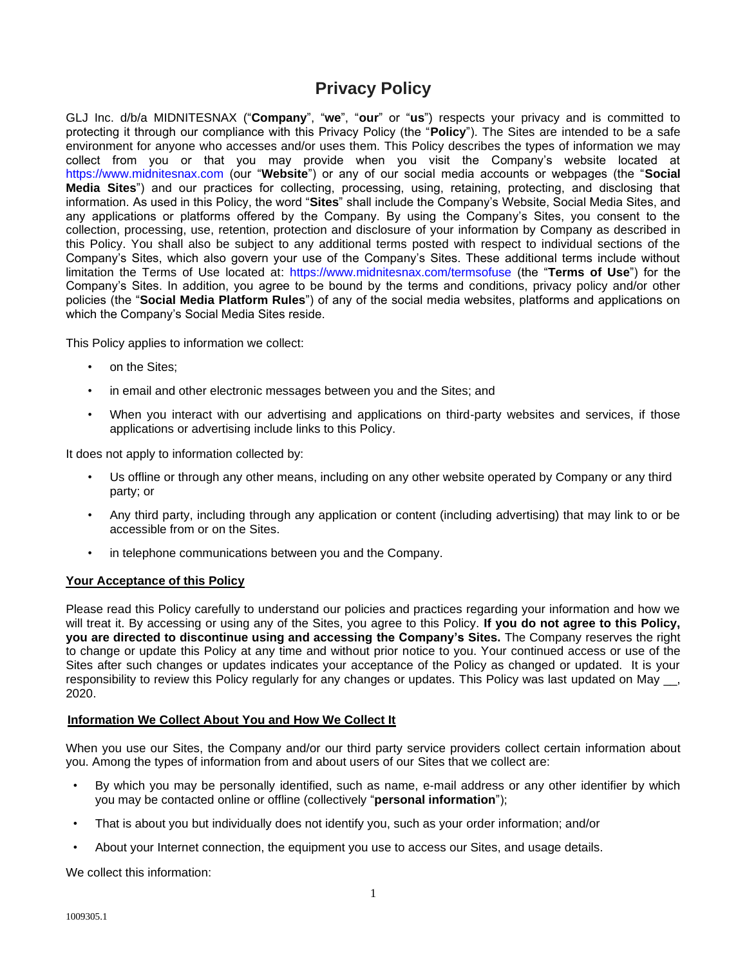# **Privacy Policy**

GLJ Inc. d/b/a MIDNITESNAX ("**Company**", "**we**", "**our**" or "**us**") respects your privacy and is committed to protecting it through our compliance with this Privacy Policy (the "**Policy**"). The Sites are intended to be a safe environment for anyone who accesses and/or uses them. This Policy describes the types of information we may collect from you or that you may provide when you visit the Company's website located at [https://www.midnitesnax.com](https://www.midnitesnax.com/) (our "**Website**") or any of our social media accounts or webpages (the "**Social Media Sites**") and our practices for collecting, processing, using, retaining, protecting, and disclosing that information. As used in this Policy, the word "**Sites**" shall include the Company's Website, Social Media Sites, and any applications or platforms offered by the Company. By using the Company's Sites, you consent to the collection, processing, use, retention, protection and disclosure of your information by Company as described in this Policy. You shall also be subject to any additional terms posted with respect to individual sections of the Company's Sites, which also govern your use of the Company's Sites. These additional terms include without limitation the Terms of Use located at: <https://www.midnitesnax.com/termsofuse> (the "**Terms of Use**") for the Company's Sites. In addition, you agree to be bound by the terms and conditions, privacy policy and/or other policies (the "**Social Media Platform Rules**") of any of the social media websites, platforms and applications on which the Company's Social Media Sites reside.

This Policy applies to information we collect:

- on the Sites:
- in email and other electronic messages between you and the Sites; and
- When you interact with our advertising and applications on third-party websites and services, if those applications or advertising include links to this Policy.

It does not apply to information collected by:

- Us offline or through any other means, including on any other website operated by Company or any third party; or
- Any third party, including through any application or content (including advertising) that may link to or be accessible from or on the Sites.
- in telephone communications between you and the Company.

## **Your Acceptance of this Policy**

Please read this Policy carefully to understand our policies and practices regarding your information and how we will treat it. By accessing or using any of the Sites, you agree to this Policy. **If you do not agree to this Policy, you are directed to discontinue using and accessing the Company's Sites.** The Company reserves the right to change or update this Policy at any time and without prior notice to you. Your continued access or use of the Sites after such changes or updates indicates your acceptance of the Policy as changed or updated. It is your responsibility to review this Policy regularly for any changes or updates. This Policy was last updated on May 2020.

## **Information We Collect About You and How We Collect It**

When you use our Sites, the Company and/or our third party service providers collect certain information about you. Among the types of information from and about users of our Sites that we collect are:

- By which you may be personally identified, such as name, e-mail address or any other identifier by which you may be contacted online or offline (collectively "**personal information**");
- That is about you but individually does not identify you, such as your order information; and/or
- About your Internet connection, the equipment you use to access our Sites, and usage details.

We collect this information: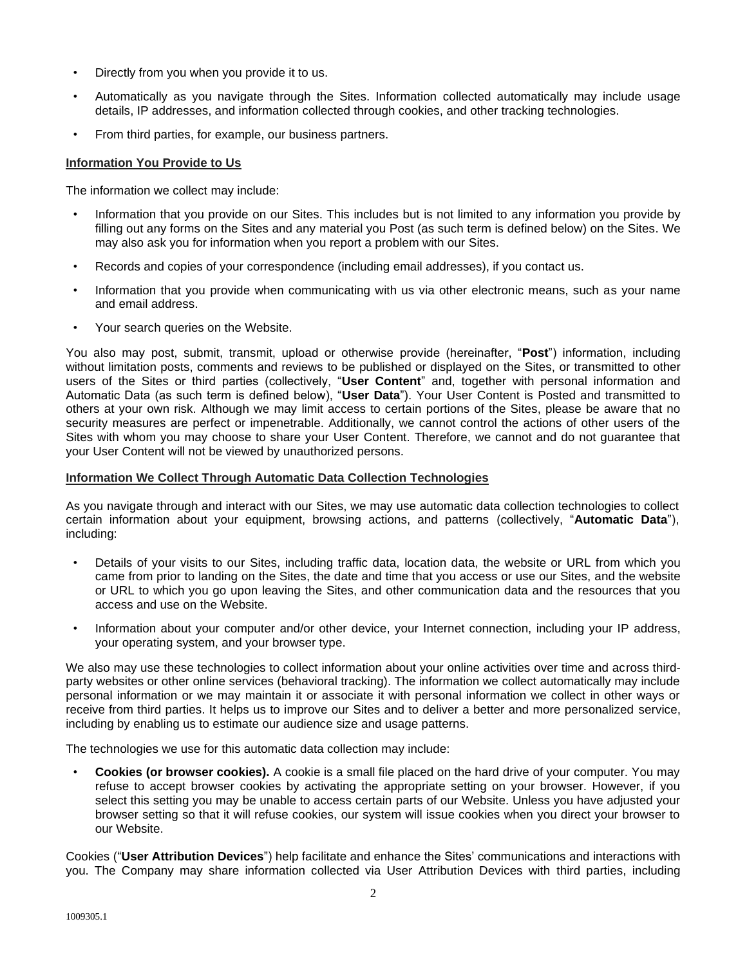- Directly from you when you provide it to us.
- Automatically as you navigate through the Sites. Information collected automatically may include usage details, IP addresses, and information collected through cookies, and other tracking technologies.
- From third parties, for example, our business partners.

## **Information You Provide to Us**

The information we collect may include:

- Information that you provide on our Sites. This includes but is not limited to any information you provide by filling out any forms on the Sites and any material you Post (as such term is defined below) on the Sites. We may also ask you for information when you report a problem with our Sites.
- Records and copies of your correspondence (including email addresses), if you contact us.
- Information that you provide when communicating with us via other electronic means, such as your name and email address.
- Your search queries on the Website.

You also may post, submit, transmit, upload or otherwise provide (hereinafter, "**Post**") information, including without limitation posts, comments and reviews to be published or displayed on the Sites, or transmitted to other users of the Sites or third parties (collectively, "**User Content**" and, together with personal information and Automatic Data (as such term is defined below), "**User Data**"). Your User Content is Posted and transmitted to others at your own risk. Although we may limit access to certain portions of the Sites, please be aware that no security measures are perfect or impenetrable. Additionally, we cannot control the actions of other users of the Sites with whom you may choose to share your User Content. Therefore, we cannot and do not guarantee that your User Content will not be viewed by unauthorized persons.

## **Information We Collect Through Automatic Data Collection Technologies**

As you navigate through and interact with our Sites, we may use automatic data collection technologies to collect certain information about your equipment, browsing actions, and patterns (collectively, "**Automatic Data**"), including:

- Details of your visits to our Sites, including traffic data, location data, the website or URL from which you came from prior to landing on the Sites, the date and time that you access or use our Sites, and the website or URL to which you go upon leaving the Sites, and other communication data and the resources that you access and use on the Website.
- Information about your computer and/or other device, your Internet connection, including your IP address, your operating system, and your browser type.

We also may use these technologies to collect information about your online activities over time and across thirdparty websites or other online services (behavioral tracking). The information we collect automatically may include personal information or we may maintain it or associate it with personal information we collect in other ways or receive from third parties. It helps us to improve our Sites and to deliver a better and more personalized service, including by enabling us to estimate our audience size and usage patterns.

The technologies we use for this automatic data collection may include:

• **Cookies (or browser cookies).** A cookie is a small file placed on the hard drive of your computer. You may refuse to accept browser cookies by activating the appropriate setting on your browser. However, if you select this setting you may be unable to access certain parts of our Website. Unless you have adjusted your browser setting so that it will refuse cookies, our system will issue cookies when you direct your browser to our Website.

Cookies ("**User Attribution Devices**") help facilitate and enhance the Sites' communications and interactions with you. The Company may share information collected via User Attribution Devices with third parties, including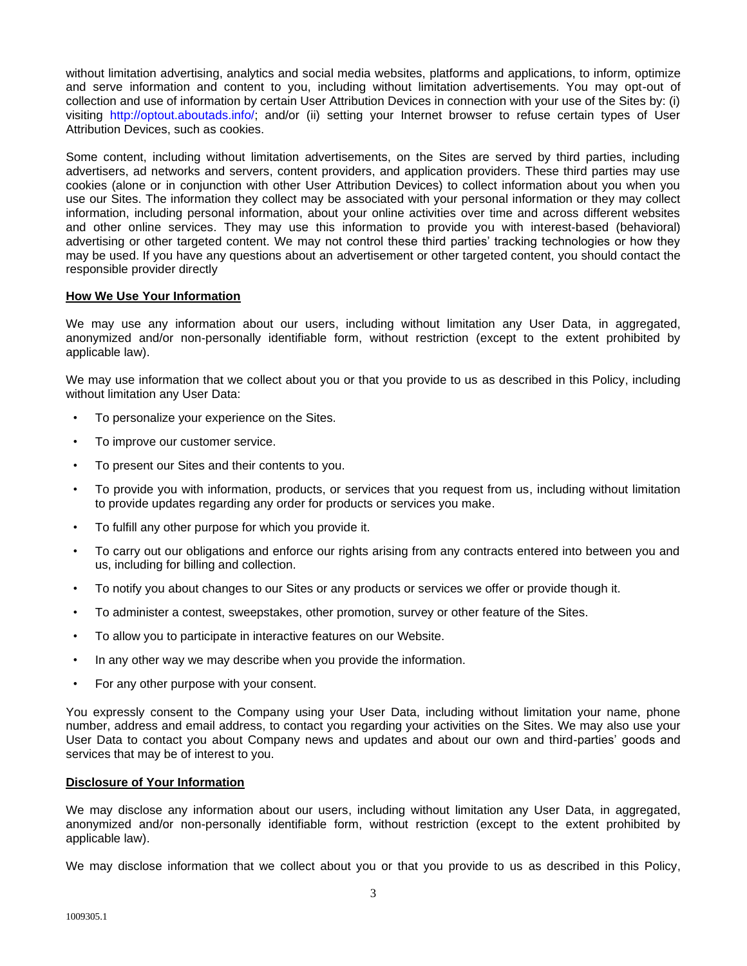without limitation advertising, analytics and social media websites, platforms and applications, to inform, optimize and serve information and content to you, including without limitation advertisements. You may opt-out of collection and use of information by certain User Attribution Devices in connection with your use of the Sites by: (i) visiting http://optout.aboutads.info/; and/or (ii) setting your Internet browser to refuse certain types of User Attribution Devices, such as cookies.

Some content, including without limitation advertisements, on the Sites are served by third parties, including advertisers, ad networks and servers, content providers, and application providers. These third parties may use cookies (alone or in conjunction with other User Attribution Devices) to collect information about you when you use our Sites. The information they collect may be associated with your personal information or they may collect information, including personal information, about your online activities over time and across different websites and other online services. They may use this information to provide you with interest-based (behavioral) advertising or other targeted content. We may not control these third parties' tracking technologies or how they may be used. If you have any questions about an advertisement or other targeted content, you should contact the responsible provider directly

## **How We Use Your Information**

We may use any information about our users, including without limitation any User Data, in aggregated, anonymized and/or non-personally identifiable form, without restriction (except to the extent prohibited by applicable law).

We may use information that we collect about you or that you provide to us as described in this Policy, including without limitation any User Data:

- To personalize your experience on the Sites.
- To improve our customer service.
- To present our Sites and their contents to you.
- To provide you with information, products, or services that you request from us, including without limitation to provide updates regarding any order for products or services you make.
- To fulfill any other purpose for which you provide it.
- To carry out our obligations and enforce our rights arising from any contracts entered into between you and us, including for billing and collection.
- To notify you about changes to our Sites or any products or services we offer or provide though it.
- To administer a contest, sweepstakes, other promotion, survey or other feature of the Sites.
- To allow you to participate in interactive features on our Website.
- In any other way we may describe when you provide the information.
- For any other purpose with your consent.

You expressly consent to the Company using your User Data, including without limitation your name, phone number, address and email address, to contact you regarding your activities on the Sites. We may also use your User Data to contact you about Company news and updates and about our own and third-parties' goods and services that may be of interest to you.

## **Disclosure of Your Information**

We may disclose any information about our users, including without limitation any User Data, in aggregated, anonymized and/or non-personally identifiable form, without restriction (except to the extent prohibited by applicable law).

We may disclose information that we collect about you or that you provide to us as described in this Policy,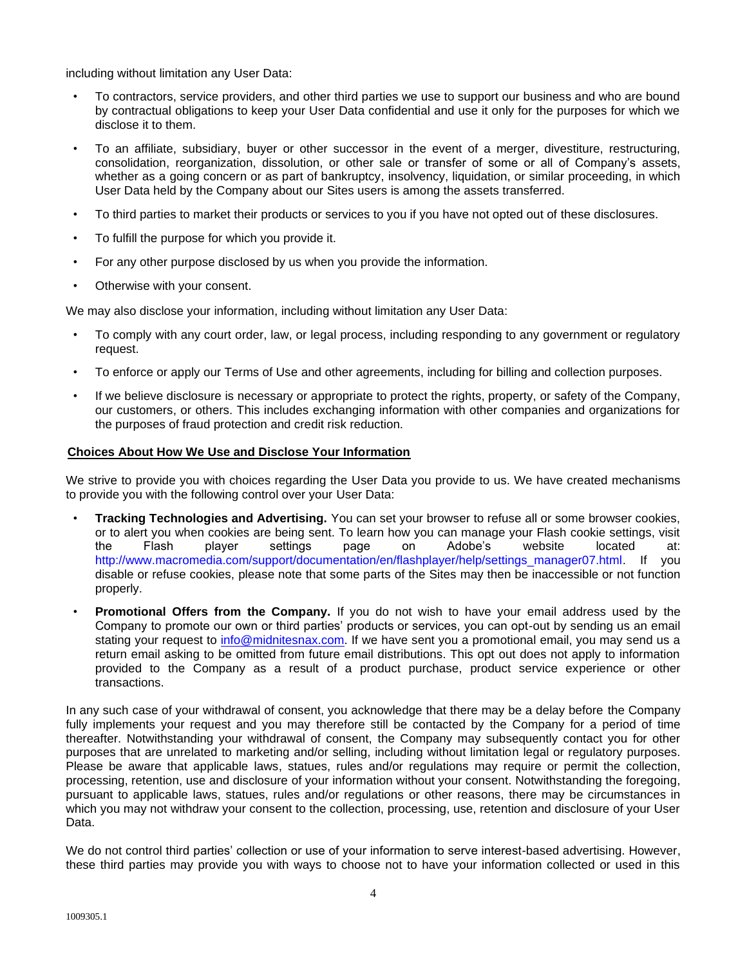including without limitation any User Data:

- To contractors, service providers, and other third parties we use to support our business and who are bound by contractual obligations to keep your User Data confidential and use it only for the purposes for which we disclose it to them.
- To an affiliate, subsidiary, buyer or other successor in the event of a merger, divestiture, restructuring, consolidation, reorganization, dissolution, or other sale or transfer of some or all of Company's assets, whether as a going concern or as part of bankruptcy, insolvency, liquidation, or similar proceeding, in which User Data held by the Company about our Sites users is among the assets transferred.
- To third parties to market their products or services to you if you have not opted out of these disclosures.
- To fulfill the purpose for which you provide it.
- For any other purpose disclosed by us when you provide the information.
- Otherwise with your consent.

We may also disclose your information, including without limitation any User Data:

- To comply with any court order, law, or legal process, including responding to any government or regulatory request.
- To enforce or apply our Terms of Use and other agreements, including for billing and collection purposes.
- If we believe disclosure is necessary or appropriate to protect the rights, property, or safety of the Company, our customers, or others. This includes exchanging information with other companies and organizations for the purposes of fraud protection and credit risk reduction.

## **Choices About How We Use and Disclose Your Information**

We strive to provide you with choices regarding the User Data you provide to us. We have created mechanisms to provide you with the following control over your User Data:

- **Tracking Technologies and Advertising.** You can set your browser to refuse all or some browser cookies, or to alert you when cookies are being sent. To learn how you can manage your Flash cookie settings, visit the Flash player settings page on Adobe's website located at: [http://www.macromedia.com/support/documentation/en/flashplayer/help/settings\\_manager07.html.](http://www.macromedia.com/support/documentation/en/flashplayer/help/settings_manager07.html) If you disable or refuse cookies, please note that some parts of the Sites may then be inaccessible or not function properly.
- **Promotional Offers from the Company.** If you do not wish to have your email address used by the Company to promote our own or third parties' products or services, you can opt-out by sending us an email stating your request to [info@midnitesnax.com.](mailto:info@midnitesnax.com) If we have sent you a promotional email, you may send us a return email asking to be omitted from future email distributions. This opt out does not apply to information provided to the Company as a result of a product purchase, product service experience or other transactions.

In any such case of your withdrawal of consent, you acknowledge that there may be a delay before the Company fully implements your request and you may therefore still be contacted by the Company for a period of time thereafter. Notwithstanding your withdrawal of consent, the Company may subsequently contact you for other purposes that are unrelated to marketing and/or selling, including without limitation legal or regulatory purposes. Please be aware that applicable laws, statues, rules and/or regulations may require or permit the collection, processing, retention, use and disclosure of your information without your consent. Notwithstanding the foregoing, pursuant to applicable laws, statues, rules and/or regulations or other reasons, there may be circumstances in which you may not withdraw your consent to the collection, processing, use, retention and disclosure of your User Data.

We do not control third parties' collection or use of your information to serve interest-based advertising. However, these third parties may provide you with ways to choose not to have your information collected or used in this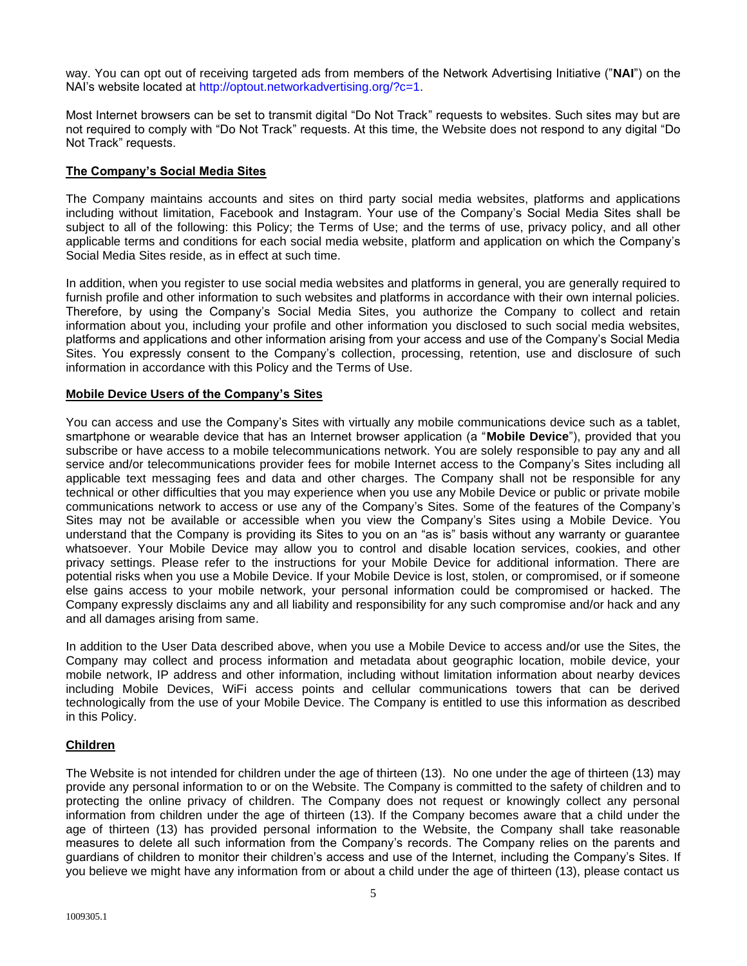way. You can opt out of receiving targeted ads from members of the Network Advertising Initiative ("**NAI**") on the NAI's website located at [http://optout.networkadvertising.org/?c=1.](http://optout.networkadvertising.org/?c=1)

Most Internet browsers can be set to transmit digital "Do Not Track" requests to websites. Such sites may but are not required to comply with "Do Not Track" requests. At this time, the Website does not respond to any digital "Do Not Track" requests.

## **The Company's Social Media Sites**

The Company maintains accounts and sites on third party social media websites, platforms and applications including without limitation, Facebook and Instagram. Your use of the Company's Social Media Sites shall be subject to all of the following: this Policy; the Terms of Use; and the terms of use, privacy policy, and all other applicable terms and conditions for each social media website, platform and application on which the Company's Social Media Sites reside, as in effect at such time.

In addition, when you register to use social media websites and platforms in general, you are generally required to furnish profile and other information to such websites and platforms in accordance with their own internal policies. Therefore, by using the Company's Social Media Sites, you authorize the Company to collect and retain information about you, including your profile and other information you disclosed to such social media websites, platforms and applications and other information arising from your access and use of the Company's Social Media Sites. You expressly consent to the Company's collection, processing, retention, use and disclosure of such information in accordance with this Policy and the Terms of Use.

## **Mobile Device Users of the Company's Sites**

You can access and use the Company's Sites with virtually any mobile communications device such as a tablet, smartphone or wearable device that has an Internet browser application (a "**Mobile Device**"), provided that you subscribe or have access to a mobile telecommunications network. You are solely responsible to pay any and all service and/or telecommunications provider fees for mobile Internet access to the Company's Sites including all applicable text messaging fees and data and other charges. The Company shall not be responsible for any technical or other difficulties that you may experience when you use any Mobile Device or public or private mobile communications network to access or use any of the Company's Sites. Some of the features of the Company's Sites may not be available or accessible when you view the Company's Sites using a Mobile Device. You understand that the Company is providing its Sites to you on an "as is" basis without any warranty or guarantee whatsoever. Your Mobile Device may allow you to control and disable location services, cookies, and other privacy settings. Please refer to the instructions for your Mobile Device for additional information. There are potential risks when you use a Mobile Device. If your Mobile Device is lost, stolen, or compromised, or if someone else gains access to your mobile network, your personal information could be compromised or hacked. The Company expressly disclaims any and all liability and responsibility for any such compromise and/or hack and any and all damages arising from same.

In addition to the User Data described above, when you use a Mobile Device to access and/or use the Sites, the Company may collect and process information and metadata about geographic location, mobile device, your mobile network, IP address and other information, including without limitation information about nearby devices including Mobile Devices, WiFi access points and cellular communications towers that can be derived technologically from the use of your Mobile Device. The Company is entitled to use this information as described in this Policy.

# **Children**

The Website is not intended for children under the age of thirteen (13). No one under the age of thirteen (13) may provide any personal information to or on the Website. The Company is committed to the safety of children and to protecting the online privacy of children. The Company does not request or knowingly collect any personal information from children under the age of thirteen (13). If the Company becomes aware that a child under the age of thirteen (13) has provided personal information to the Website, the Company shall take reasonable measures to delete all such information from the Company's records. The Company relies on the parents and guardians of children to monitor their children's access and use of the Internet, including the Company's Sites. If you believe we might have any information from or about a child under the age of thirteen (13), please contact us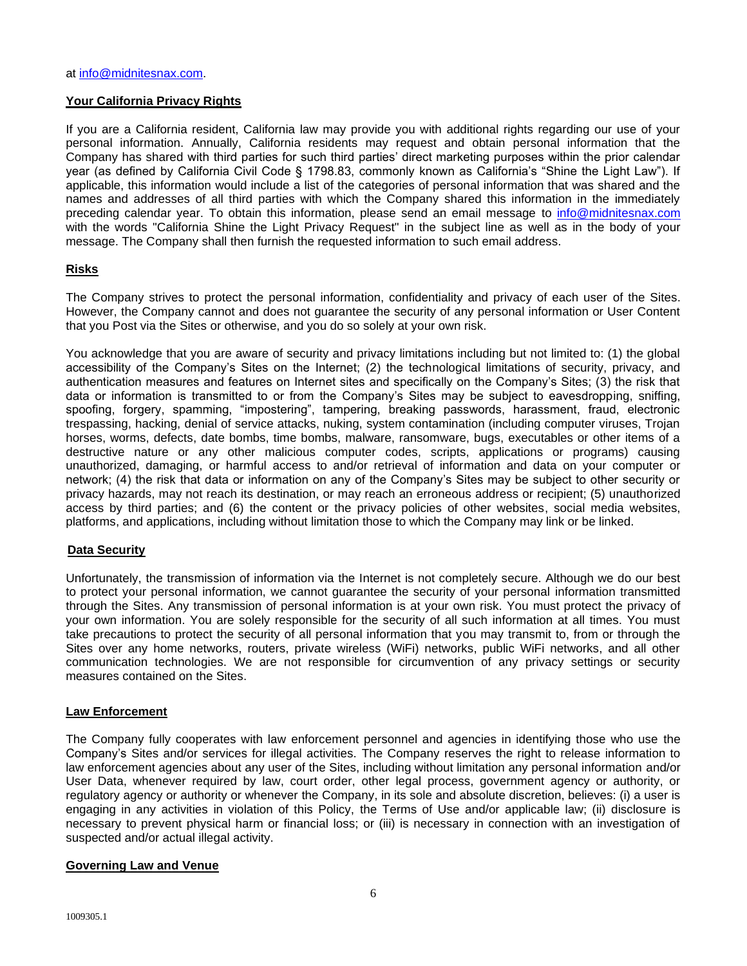## **Your California Privacy Rights**

If you are a California resident, California law may provide you with additional rights regarding our use of your personal information. Annually, California residents may request and obtain personal information that the Company has shared with third parties for such third parties' direct marketing purposes within the prior calendar year (as defined by California Civil Code § 1798.83, commonly known as California's "Shine the Light Law"). If applicable, this information would include a list of the categories of personal information that was shared and the names and addresses of all third parties with which the Company shared this information in the immediately preceding calendar year. To obtain this information, please send an email message to [info@midnitesnax.com](mailto:info@midnitesnax.com) with the words "California Shine the Light Privacy Request" in the subject line as well as in the body of your message. The Company shall then furnish the requested information to such email address.

## **Risks**

The Company strives to protect the personal information, confidentiality and privacy of each user of the Sites. However, the Company cannot and does not guarantee the security of any personal information or User Content that you Post via the Sites or otherwise, and you do so solely at your own risk.

You acknowledge that you are aware of security and privacy limitations including but not limited to: (1) the global accessibility of the Company's Sites on the Internet; (2) the technological limitations of security, privacy, and authentication measures and features on Internet sites and specifically on the Company's Sites; (3) the risk that data or information is transmitted to or from the Company's Sites may be subject to eavesdropping, sniffing, spoofing, forgery, spamming, "impostering", tampering, breaking passwords, harassment, fraud, electronic trespassing, hacking, denial of service attacks, nuking, system contamination (including computer viruses, Trojan horses, worms, defects, date bombs, time bombs, malware, ransomware, bugs, executables or other items of a destructive nature or any other malicious computer codes, scripts, applications or programs) causing unauthorized, damaging, or harmful access to and/or retrieval of information and data on your computer or network; (4) the risk that data or information on any of the Company's Sites may be subject to other security or privacy hazards, may not reach its destination, or may reach an erroneous address or recipient; (5) unauthorized access by third parties; and (6) the content or the privacy policies of other websites, social media websites, platforms, and applications, including without limitation those to which the Company may link or be linked.

## **Data Security**

Unfortunately, the transmission of information via the Internet is not completely secure. Although we do our best to protect your personal information, we cannot guarantee the security of your personal information transmitted through the Sites. Any transmission of personal information is at your own risk. You must protect the privacy of your own information. You are solely responsible for the security of all such information at all times. You must take precautions to protect the security of all personal information that you may transmit to, from or through the Sites over any home networks, routers, private wireless (WiFi) networks, public WiFi networks, and all other communication technologies. We are not responsible for circumvention of any privacy settings or security measures contained on the Sites.

## **Law Enforcement**

The Company fully cooperates with law enforcement personnel and agencies in identifying those who use the Company's Sites and/or services for illegal activities. The Company reserves the right to release information to law enforcement agencies about any user of the Sites, including without limitation any personal information and/or User Data, whenever required by law, court order, other legal process, government agency or authority, or regulatory agency or authority or whenever the Company, in its sole and absolute discretion, believes: (i) a user is engaging in any activities in violation of this Policy, the Terms of Use and/or applicable law; (ii) disclosure is necessary to prevent physical harm or financial loss; or (iii) is necessary in connection with an investigation of suspected and/or actual illegal activity.

## **Governing Law and Venue**